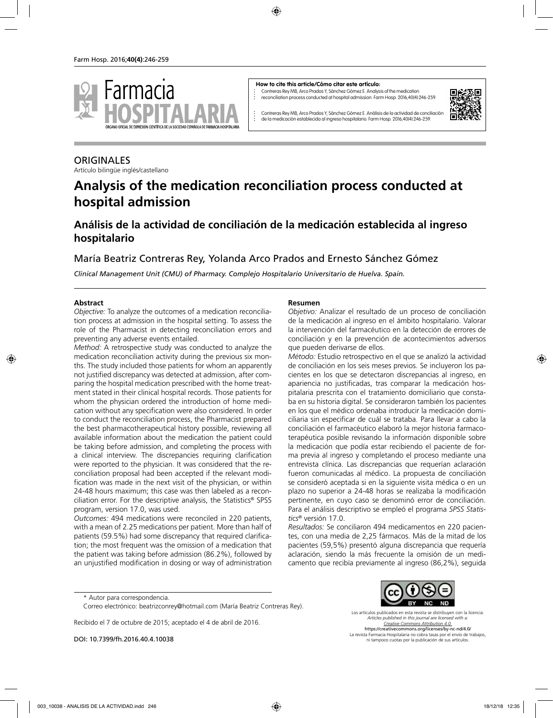

#### **How to cite this article/Cómo citar este artículo:**

Contreras Rey MB, Arco Prados Y, Sánchez Gómez E. Analysis of the medication reconciliation process conducted at hospital admission. Farm Hosp. 2016;40(4):246-259.



Contreras Rey MB, Arco Prados Y, Sánchez Gómez E. Análisis de la actividad de conciliación de la medicación establecida al ingreso hospitalario. Farm Hosp. 2016;40(4):246-259.

# **ORIGINALES**

Artículo bilingüe inglés/castellano

# **Analysis of the medication reconciliation process conducted at hospital admission**

# **Análisis de la actividad de conciliación de la medicación establecida al ingreso hospitalario**

María Beatriz Contreras Rey, Yolanda Arco Prados and Ernesto Sánchez Gómez

*Clinical Management Unit (CMU) of Pharmacy. Complejo Hospitalario Universitario de Huelva. Spain.*

#### **Abstract**

*Objective:* To analyze the outcomes of a medication reconciliation process at admission in the hospital setting. To assess the role of the Pharmacist in detecting reconciliation errors and preventing any adverse events entailed.

*Method:* A retrospective study was conducted to analyze the medication reconciliation activity during the previous six months. The study included those patients for whom an apparently not justified discrepancy was detected at admission, after comparing the hospital medication prescribed with the home treatment stated in their clinical hospital records. Those patients for whom the physician ordered the introduction of home medication without any specification were also considered. In order to conduct the reconciliation process, the Pharmacist prepared the best pharmacotherapeutical history possible, reviewing all available information about the medication the patient could be taking before admission, and completing the process with a clinical interview. The discrepancies requiring clarification were reported to the physician. It was considered that the reconciliation proposal had been accepted if the relevant modification was made in the next visit of the physician, or within 24-48 hours maximum; this case was then labeled as a reconciliation error. For the descriptive analysis, the Statistics® SPSS program, version 17.0, was used.

*Outcomes:* 494 medications were reconciled in 220 patients, with a mean of 2.25 medications per patient. More than half of patients (59.5%) had some discrepancy that required clarification; the most frequent was the omission of a medication that the patient was taking before admission (86.2%), followed by an unjustified modification in dosing or way of administration

#### **Resumen**

*Objetivo:* Analizar el resultado de un proceso de conciliación de la medicación al ingreso en el ámbito hospitalario. Valorar la intervención del farmacéutico en la detección de errores de conciliación y en la prevención de acontecimientos adversos que pueden derivarse de ellos.

*Método:* Estudio retrospectivo en el que se analizó la actividad de conciliación en los seis meses previos. Se incluyeron los pacientes en los que se detectaron discrepancias al ingreso, en apariencia no justificadas, tras comparar la medicación hospitalaria prescrita con el tratamiento domiciliario que constaba en su historia digital. Se consideraron también los pacientes en los que el médico ordenaba introducir la medicación domiciliaria sin especificar de cuál se trataba. Para llevar a cabo la conciliación el farmacéutico elaboró la mejor historia farmacoterapéutica posible revisando la información disponible sobre la medicación que podía estar recibiendo el paciente de forma previa al ingreso y completando el proceso mediante una entrevista clínica. Las discrepancias que requerían aclaración fueron comunicadas al médico. La propuesta de conciliación se consideró aceptada si en la siguiente visita médica o en un plazo no superior a 24-48 horas se realizaba la modificación pertinente, en cuyo caso se denominó error de conciliación. Para el análisis descriptivo se empleó el programa *SPSS Statistics*® versión 17.0.

*Resultados:* Se conciliaron 494 medicamentos en 220 pacientes, con una media de 2,25 fármacos. Más de la mitad de los pacientes (59,5%) presentó alguna discrepancia que requería aclaración, siendo la más frecuente la omisión de un medicamento que recibía previamente al ingreso (86,2%), seguida

Recibido el 7 de octubre de 2015; aceptado el 4 de abril de 2016.

DOI: 10.7399/fh.2016.40.4.10038



Los artículos publicados en esta revista se distribuyen con la licencia: *Articles published in this journal are licensed with a: Creative Commons Attribution 4.0.* https://creativecommons.org/licenses/by-nc-nd/4.0/ La revista Farmacia Hospitalaria no cobra tasas por el envío de trabajos, ni tampoco cuotas por la publicación de sus artículos.

<sup>\*</sup> Autor para correspondencia.

Correo electrónico: beatrizconrey@hotmail.com (María Beatriz Contreras Rey).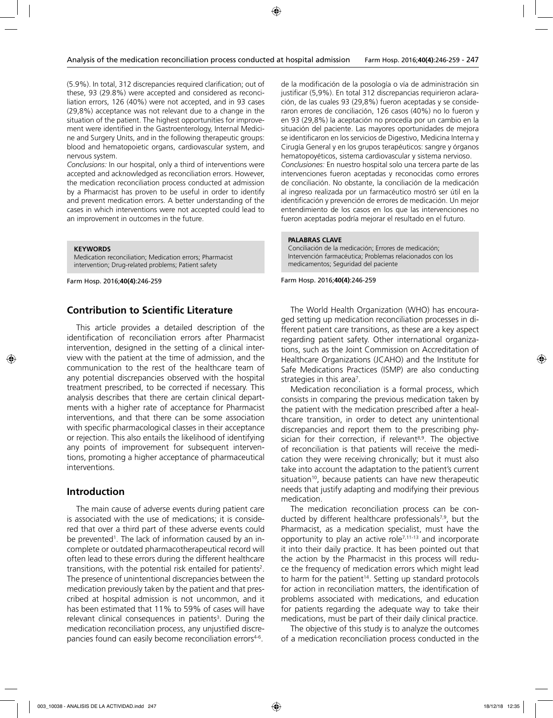(5.9%). In total, 312 discrepancies required clarification; out of these, 93 (29.8%) were accepted and considered as reconciliation errors, 126 (40%) were not accepted, and in 93 cases (29,8%) acceptance was not relevant due to a change in the situation of the patient. The highest opportunities for improvement were identified in the Gastroenterology, Internal Medicine and Surgery Units, and in the following therapeutic groups: blood and hematopoietic organs, cardiovascular system, and nervous system.

*Conclusions:* In our hospital, only a third of interventions were accepted and acknowledged as reconciliation errors. However, the medication reconciliation process conducted at admission by a Pharmacist has proven to be useful in order to identify and prevent medication errors. A better understanding of the cases in which interventions were not accepted could lead to an improvement in outcomes in the future.

**KEYWORDS**

Medication reconciliation; Medication errors; Pharmacist intervention; Drug-related problems; Patient safety

Farm Hosp. 2016;**40(4)**:246-259

### **Contribution to Scientific Literature**

This article provides a detailed description of the identification of reconciliation errors after Pharmacist intervention, designed in the setting of a clinical interview with the patient at the time of admission, and the communication to the rest of the healthcare team of any potential discrepancies observed with the hospital treatment prescribed, to be corrected if necessary. This analysis describes that there are certain clinical departments with a higher rate of acceptance for Pharmacist interventions, and that there can be some association with specific pharmacological classes in their acceptance or rejection. This also entails the likelihood of identifying any points of improvement for subsequent interventions, promoting a higher acceptance of pharmaceutical interventions.

#### **Introduction**

The main cause of adverse events during patient care is associated with the use of medications; it is considered that over a third part of these adverse events could be prevented<sup>1</sup>. The lack of information caused by an incomplete or outdated pharmacotherapeutical record will often lead to these errors during the different healthcare transitions, with the potential risk entailed for patients<sup>2</sup>. The presence of unintentional discrepancies between the medication previously taken by the patient and that prescribed at hospital admission is not uncommon, and it has been estimated that 11% to 59% of cases will have relevant clinical consequences in patients<sup>3</sup>. During the medication reconciliation process, any unjustified discrepancies found can easily become reconciliation errors<sup>4-6</sup>.

de la modificación de la posología o vía de administración sin justificar (5,9%). En total 312 discrepancias requirieron aclaración, de las cuales 93 (29,8%) fueron aceptadas y se consideraron errores de conciliación, 126 casos (40%) no lo fueron y en 93 (29,8%) la aceptación no procedía por un cambio en la situación del paciente. Las mayores oportunidades de mejora se identificaron en los servicios de Digestivo, Medicina Interna y Cirugía General y en los grupos terapéuticos: sangre y órganos hematopoyéticos, sistema cardiovascular y sistema nervioso. *Conclusiones:* En nuestro hospital solo una tercera parte de las intervenciones fueron aceptadas y reconocidas como errores de conciliación. No obstante, la conciliación de la medicación al ingreso realizada por un farmacéutico mostró ser útil en la identificación y prevención de errores de medicación. Un mejor entendimiento de los casos en los que las intervenciones no fueron aceptadas podría mejorar el resultado en el futuro.

#### **PALABRAS CLAVE**

Conciliación de la medicación; Errores de medicación; Intervención farmacéutica; Problemas relacionados con los medicamentos; Seguridad del paciente

Farm Hosp. 2016;**40(4)**:246-259

The World Health Organization (WHO) has encouraged setting up medication reconciliation processes in different patient care transitions, as these are a key aspect regarding patient safety. Other international organizations, such as the Joint Commission on Accreditation of Healthcare Organizations (JCAHO) and the Institute for Safe Medications Practices (ISMP) are also conducting strategies in this area<sup>7</sup>.

Medication reconciliation is a formal process, which consists in comparing the previous medication taken by the patient with the medication prescribed after a healthcare transition, in order to detect any unintentional discrepancies and report them to the prescribing physician for their correction, if relevant<sup>8,9</sup>. The objective of reconciliation is that patients will receive the medication they were receiving chronically; but it must also take into account the adaptation to the patient's current situation $10$ , because patients can have new therapeutic needs that justify adapting and modifying their previous medication.

The medication reconciliation process can be conducted by different healthcare professionals<sup>7,9</sup>, but the Pharmacist, as a medication specialist, must have the opportunity to play an active role $7,11-13$  and incorporate it into their daily practice. It has been pointed out that the action by the Pharmacist in this process will reduce the frequency of medication errors which might lead to harm for the patient<sup>14</sup>. Setting up standard protocols for action in reconciliation matters, the identification of problems associated with medications, and education for patients regarding the adequate way to take their medications, must be part of their daily clinical practice.

The objective of this study is to analyze the outcomes of a medication reconciliation process conducted in the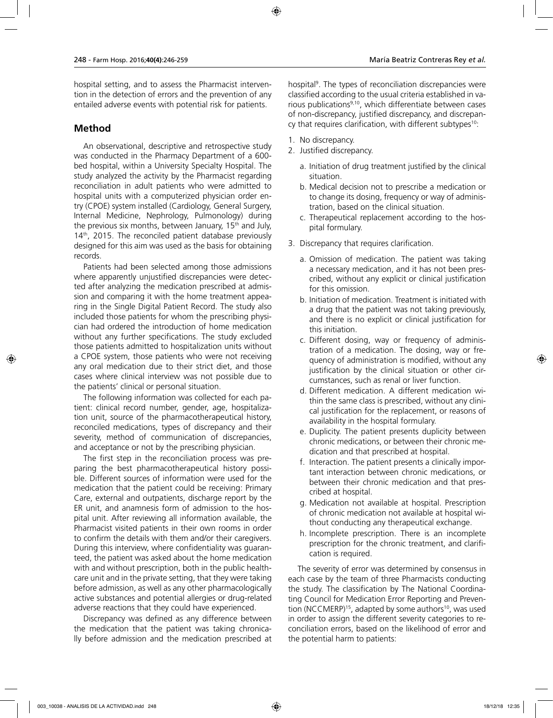hospital setting, and to assess the Pharmacist intervention in the detection of errors and the prevention of any entailed adverse events with potential risk for patients.

# **Method**

An observational, descriptive and retrospective study was conducted in the Pharmacy Department of a 600 bed hospital, within a University Specialty Hospital. The study analyzed the activity by the Pharmacist regarding reconciliation in adult patients who were admitted to hospital units with a computerized physician order entry (CPOE) system installed (Cardiology, General Surgery, Internal Medicine, Nephrology, Pulmonology) during the previous six months, between January,  $15<sup>th</sup>$  and July,  $14<sup>th</sup>$ , 2015. The reconciled patient database previously designed for this aim was used as the basis for obtaining records.

Patients had been selected among those admissions where apparently unjustified discrepancies were detected after analyzing the medication prescribed at admission and comparing it with the home treatment appearing in the Single Digital Patient Record. The study also included those patients for whom the prescribing physician had ordered the introduction of home medication without any further specifications. The study excluded those patients admitted to hospitalization units without a CPOE system, those patients who were not receiving any oral medication due to their strict diet, and those cases where clinical interview was not possible due to the patients' clinical or personal situation.

The following information was collected for each patient: clinical record number, gender, age, hospitalization unit, source of the pharmacotherapeutical history, reconciled medications, types of discrepancy and their severity, method of communication of discrepancies, and acceptance or not by the prescribing physician.

The first step in the reconciliation process was preparing the best pharmacotherapeutical history possible. Different sources of information were used for the medication that the patient could be receiving: Primary Care, external and outpatients, discharge report by the ER unit, and anamnesis form of admission to the hospital unit. After reviewing all information available, the Pharmacist visited patients in their own rooms in order to confirm the details with them and/or their caregivers. During this interview, where confidentiality was guaranteed, the patient was asked about the home medication with and without prescription, both in the public healthcare unit and in the private setting, that they were taking before admission, as well as any other pharmacologically active substances and potential allergies or drug-related adverse reactions that they could have experienced.

Discrepancy was defined as any difference between the medication that the patient was taking chronically before admission and the medication prescribed at

hospital<sup>9</sup>. The types of reconciliation discrepancies were classified according to the usual criteria established in various publications<sup>9,10</sup>, which differentiate between cases of non-discrepancy, justified discrepancy, and discrepancy that requires clarification, with different subtypes<sup>10</sup>:

- 1. No discrepancy.
- 2. Justified discrepancy.
	- a. Initiation of drug treatment justified by the clinical situation.
	- b. Medical decision not to prescribe a medication or to change its dosing, frequency or way of administration, based on the clinical situation.
	- c. Therapeutical replacement according to the hospital formulary.
- 3. Discrepancy that requires clarification.
	- a. Omission of medication. The patient was taking a necessary medication, and it has not been prescribed, without any explicit or clinical justification for this omission.
	- b. Initiation of medication. Treatment is initiated with a drug that the patient was not taking previously, and there is no explicit or clinical justification for this initiation.
	- c. Different dosing, way or frequency of administration of a medication. The dosing, way or frequency of administration is modified, without any justification by the clinical situation or other circumstances, such as renal or liver function.
	- d. Different medication. A different medication within the same class is prescribed, without any clinical justification for the replacement, or reasons of availability in the hospital formulary.
	- e. Duplicity. The patient presents duplicity between chronic medications, or between their chronic medication and that prescribed at hospital.
	- f. Interaction. The patient presents a clinically important interaction between chronic medications, or between their chronic medication and that prescribed at hospital.
	- g. Medication not available at hospital. Prescription of chronic medication not available at hospital without conducting any therapeutical exchange.
	- h. Incomplete prescription. There is an incomplete prescription for the chronic treatment, and clarification is required.

The severity of error was determined by consensus in each case by the team of three Pharmacists conducting the study. The classification by The National Coordinating Council for Medication Error Reporting and Prevention (NCCMERP)<sup>15</sup>, adapted by some authors<sup>10</sup>, was used in order to assign the different severity categories to reconciliation errors, based on the likelihood of error and the potential harm to patients: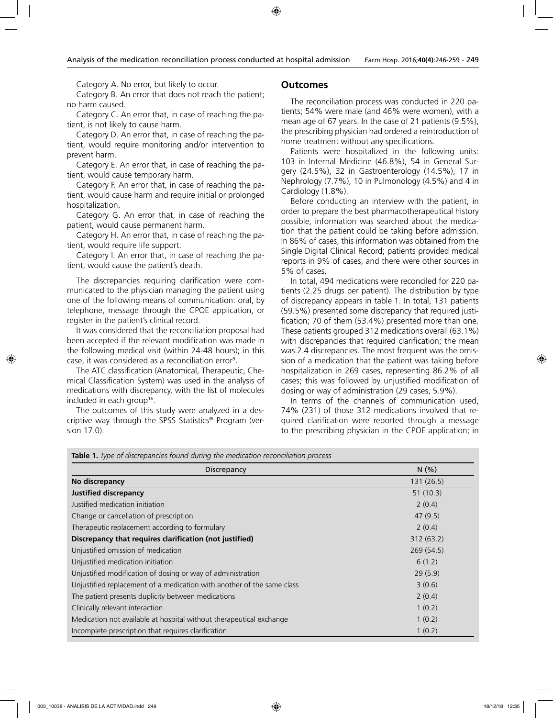Category A. No error, but likely to occur.

Category B. An error that does not reach the patient; no harm caused.

Category C. An error that, in case of reaching the patient, is not likely to cause harm.

Category D. An error that, in case of reaching the patient, would require monitoring and/or intervention to prevent harm.

Category E. An error that, in case of reaching the patient, would cause temporary harm.

Category F. An error that, in case of reaching the patient, would cause harm and require initial or prolonged hospitalization.

Category G. An error that, in case of reaching the patient, would cause permanent harm.

Category H. An error that, in case of reaching the patient, would require life support.

Category I. An error that, in case of reaching the patient, would cause the patient's death.

The discrepancies requiring clarification were communicated to the physician managing the patient using one of the following means of communication: oral, by telephone, message through the CPOE application, or register in the patient's clinical record.

It was considered that the reconciliation proposal had been accepted if the relevant modification was made in the following medical visit (within 24-48 hours); in this case, it was considered as a reconciliation error<sup>9</sup>.

The ATC classification (Anatomical, Therapeutic, Chemical Classification System) was used in the analysis of medications with discrepancy, with the list of molecules included in each group<sup>16</sup>.

The outcomes of this study were analyzed in a descriptive way through the SPSS Statistics® Program (version 17.0).

#### **Outcomes**

The reconciliation process was conducted in 220 patients; 54% were male (and 46% were women), with a mean age of 67 years. In the case of 21 patients (9.5%), the prescribing physician had ordered a reintroduction of home treatment without any specifications.

Patients were hospitalized in the following units: 103 in Internal Medicine (46.8%), 54 in General Surgery (24.5%), 32 in Gastroenterology (14.5%), 17 in Nephrology (7.7%), 10 in Pulmonology (4.5%) and 4 in Cardiology (1.8%).

Before conducting an interview with the patient, in order to prepare the best pharmacotherapeutical history possible, information was searched about the medication that the patient could be taking before admission. In 86% of cases, this information was obtained from the Single Digital Clinical Record; patients provided medical reports in 9% of cases, and there were other sources in 5% of cases.

In total, 494 medications were reconciled for 220 patients (2.25 drugs per patient). The distribution by type of discrepancy appears in table 1. In total, 131 patients (59.5%) presented some discrepancy that required justification; 70 of them (53.4%) presented more than one. These patients grouped 312 medications overall (63.1%) with discrepancies that required clarification; the mean was 2.4 discrepancies. The most frequent was the omission of a medication that the patient was taking before hospitalization in 269 cases, representing 86.2% of all cases; this was followed by unjustified modification of dosing or way of administration (29 cases, 5.9%).

In terms of the channels of communication used, 74% (231) of those 312 medications involved that required clarification were reported through a message to the prescribing physician in the CPOE application; in

| Discrepancy                                                            | N(% )      |
|------------------------------------------------------------------------|------------|
| No discrepancy                                                         | 131 (26.5) |
| <b>Justified discrepancy</b>                                           | 51(10.3)   |
| Justified medication initiation                                        | 2(0.4)     |
| Change or cancellation of prescription                                 | 47(9.5)    |
| Therapeutic replacement according to formulary                         | 2(0.4)     |
| Discrepancy that requires clarification (not justified)                | 312(63.2)  |
| Unjustified omission of medication                                     | 269(54.5)  |
| Unjustified medication initiation                                      | 6(1.2)     |
| Unjustified modification of dosing or way of administration            | 29(5.9)    |
| Unjustified replacement of a medication with another of the same class | 3(0.6)     |
| The patient presents duplicity between medications                     | 2(0.4)     |
| Clinically relevant interaction                                        | 1(0.2)     |
| Medication not available at hospital without therapeutical exchange    | 1(0.2)     |
| Incomplete prescription that requires clarification                    | 1(0.2)     |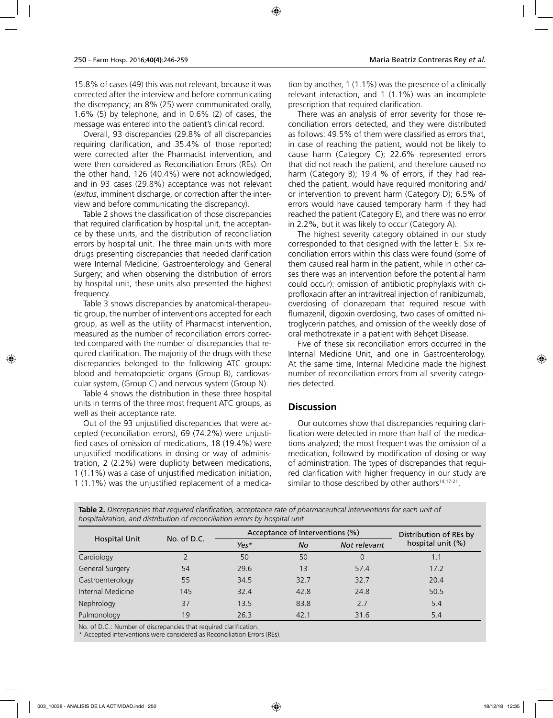15.8% of cases (49) this was not relevant, because it was corrected after the interview and before communicating the discrepancy; an 8% (25) were communicated orally, 1.6% (5) by telephone, and in 0.6% (2) of cases, the

message was entered into the patient's clinical record. Overall, 93 discrepancies (29.8% of all discrepancies requiring clarification, and 35.4% of those reported) were corrected after the Pharmacist intervention, and were then considered as Reconciliation Errors (REs). On the other hand, 126 (40.4%) were not acknowledged, and in 93 cases (29.8%) acceptance was not relevant (*exitus*, imminent discharge, or correction after the interview and before communicating the discrepancy).

Table 2 shows the classification of those discrepancies that required clarification by hospital unit, the acceptance by these units, and the distribution of reconciliation errors by hospital unit. The three main units with more drugs presenting discrepancies that needed clarification were Internal Medicine, Gastroenterology and General Surgery; and when observing the distribution of errors by hospital unit, these units also presented the highest frequency.

Table 3 shows discrepancies by anatomical-therapeutic group, the number of interventions accepted for each group, as well as the utility of Pharmacist intervention, measured as the number of reconciliation errors corrected compared with the number of discrepancies that required clarification. The majority of the drugs with these discrepancies belonged to the following ATC groups: blood and hematopoietic organs (Group B), cardiovascular system, (Group C) and nervous system (Group N).

Table 4 shows the distribution in these three hospital units in terms of the three most frequent ATC groups, as well as their acceptance rate.

Out of the 93 unjustified discrepancies that were accepted (reconciliation errors), 69 (74.2%) were unjustified cases of omission of medications, 18 (19.4%) were unjustified modifications in dosing or way of administration, 2 (2.2%) were duplicity between medications, 1 (1.1%) was a case of unjustified medication initiation, 1 (1.1%) was the unjustified replacement of a medication by another, 1 (1.1%) was the presence of a clinically relevant interaction, and 1 (1.1%) was an incomplete prescription that required clarification.

There was an analysis of error severity for those reconciliation errors detected, and they were distributed as follows: 49.5% of them were classified as errors that, in case of reaching the patient, would not be likely to cause harm (Category C); 22.6% represented errors that did not reach the patient, and therefore caused no harm (Category B); 19.4 % of errors, if they had reached the patient, would have required monitoring and/ or intervention to prevent harm (Category D); 6.5% of errors would have caused temporary harm if they had reached the patient (Category E), and there was no error in 2.2%, but it was likely to occur (Category A).

The highest severity category obtained in our study corresponded to that designed with the letter E. Six reconciliation errors within this class were found (some of them caused real harm in the patient, while in other cases there was an intervention before the potential harm could occur): omission of antibiotic prophylaxis with ciprofloxacin after an intravitreal injection of ranibizumab, overdosing of clonazepam that required rescue with flumazenil, digoxin overdosing, two cases of omitted nitroglycerin patches, and omission of the weekly dose of oral methotrexate in a patient with Behçet Disease.

Five of these six reconciliation errors occurred in the Internal Medicine Unit, and one in Gastroenterology. At the same time, Internal Medicine made the highest number of reconciliation errors from all severity categories detected.

#### **Discussion**

Our outcomes show that discrepancies requiring clarification were detected in more than half of the medications analyzed; the most frequent was the omission of a medication, followed by modification of dosing or way of administration. The types of discrepancies that required clarification with higher frequency in our study are similar to those described by other authors $14,17-21$ .

| hospitalization, and distribution of reconciliation errors by hospital unit |
|-----------------------------------------------------------------------------|

|                      |             | Acceptance of Interventions (%) | Distribution of REs by |              |                   |
|----------------------|-------------|---------------------------------|------------------------|--------------|-------------------|
| <b>Hospital Unit</b> | No. of D.C. | Yes*<br>No                      |                        | Not relevant | hospital unit (%) |
| Cardiology           |             | 50                              | 50                     | $\Omega$     | 1.1               |
| General Surgery      | 54          | 29.6                            | 13                     | 57.4         | 17.2              |
| Gastroenterology     | 55          | 34.5                            | 32.7                   | 32.7         | 20.4              |
| Internal Medicine    | 145         | 32.4                            | 42.8                   | 24.8         | 50.5              |
| Nephrology           | 37          | 13.5                            | 83.8                   | 2.7          | 5.4               |
| Pulmonology          | 19          | 26.3                            | 42.1                   | 31.6         | 5.4               |

No. of D.C.: Number of discrepancies that required clarification.

\* Accepted interventions were considered as Reconciliation Errors (REs).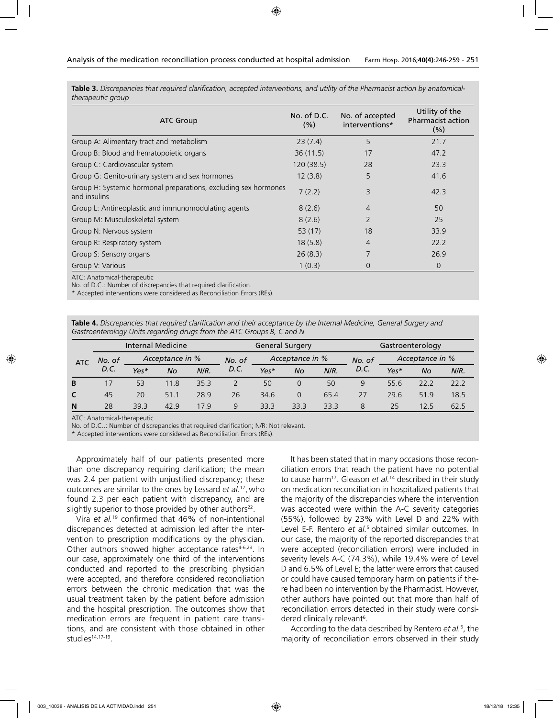**Table 3.** *Discrepancies that required clarification, accepted interventions, and utility of the Pharmacist action by anatomicaltherapeutic group*

| <b>ATC Group</b>                                                                | No. of D.C.<br>(% ) | No. of accepted<br>interventions* | Utility of the<br><b>Pharmacist action</b><br>(% ) |
|---------------------------------------------------------------------------------|---------------------|-----------------------------------|----------------------------------------------------|
| Group A: Alimentary tract and metabolism                                        | 23(7.4)             | 5                                 | 21.7                                               |
| Group B: Blood and hematopoietic organs                                         | 36(11.5)            | 17                                | 47.2                                               |
| Group C: Cardiovascular system                                                  | 120(38.5)           | 28                                | 23.3                                               |
| Group G: Genito-urinary system and sex hormones                                 | 12(3.8)             | 5                                 | 41.6                                               |
| Group H: Systemic hormonal preparations, excluding sex hormones<br>and insulins | 7(2.2)              | 3                                 | 42.3                                               |
| Group L: Antineoplastic and immunomodulating agents                             | 8(2.6)              | $\overline{4}$                    | 50                                                 |
| Group M: Musculoskeletal system                                                 | 8(2.6)              | $\mathcal{P}$                     | 25                                                 |
| Group N: Nervous system                                                         | 53(17)              | 18                                | 33.9                                               |
| Group R: Respiratory system                                                     | 18(5.8)             | 4                                 | 22.2                                               |
| Group S: Sensory organs                                                         | 26(8.3)             | $\overline{7}$                    | 26.9                                               |
| Group V: Various                                                                | 1(0.3)              | O                                 | $\overline{0}$                                     |

ATC: Anatomical-therapeutic

No. of D.C.: Number of discrepancies that required clarification.

\* Accepted interventions were considered as Reconciliation Errors (REs).

**Table 4.** *Discrepancies that required clarification and their acceptance by the Internal Medicine, General Surgery and Gastroenterology Units regarding drugs from the ATC Groups B, C and N*

|     | <b>Internal Medicine</b> |                 |      |      |        | <b>General Surgery</b> |           |         |                           | Gastroenterology |      |      |  |
|-----|--------------------------|-----------------|------|------|--------|------------------------|-----------|---------|---------------------------|------------------|------|------|--|
| ATC | No. of                   | Acceptance in % |      |      | No. of | Acceptance in %        |           |         | Acceptance in %<br>No. of |                  |      |      |  |
|     | D.C.                     | Yes*            | No   | N/R. | D.C.   | Yes*                   | <b>No</b> | $N/R$ . | D.C.                      | Yes*             | No   | N/R. |  |
| B   |                          | 53              | 11.8 | 35.3 |        | 50                     | 0         | 50      | 9                         | 55.6             | 22.2 | 22.2 |  |
| C   | 45                       | 20              | 51.1 | 28.9 | 26     | 34.6                   | 0         | 65.4    | 27                        | 29.6             | 51.9 | 18.5 |  |
| N   | 28                       | 39.3            | 42.9 | 179  | 9      | 33.3                   | 33.3      | 33.3    | 8                         | 25               | 12.5 | 62.5 |  |

ATC: Anatomical-therapeutic

No. of D.C..: Number of discrepancies that required clarification; N/R: Not relevant.

\* Accepted interventions were considered as Reconciliation Errors (REs).

Approximately half of our patients presented more than one discrepancy requiring clarification; the mean was 2.4 per patient with unjustified discrepancy; these outcomes are similar to the ones by Lessard *et al.*17, who found 2.3 per each patient with discrepancy, and are slightly superior to those provided by other authors $22$ .

Vira *et al.*19 confirmed that 46% of non-intentional discrepancies detected at admission led after the intervention to prescription modifications by the physician. Other authors showed higher acceptance rates<sup>4-6,23</sup>. In our case, approximately one third of the interventions conducted and reported to the prescribing physician were accepted, and therefore considered reconciliation errors between the chronic medication that was the usual treatment taken by the patient before admission and the hospital prescription. The outcomes show that medication errors are frequent in patient care transitions, and are consistent with those obtained in other studies<sup>14,17-19</sup>.

It has been stated that in many occasions those reconciliation errors that reach the patient have no potential to cause harm17. Gleason *et al.*14 described in their study on medication reconciliation in hospitalized patients that the majority of the discrepancies where the intervention was accepted were within the A-C severity categories (55%), followed by 23% with Level D and 22% with Level E-F. Rentero *et al.*5 obtained similar outcomes. In our case, the majority of the reported discrepancies that were accepted (reconciliation errors) were included in severity levels A-C (74.3%), while 19.4% were of Level D and 6.5% of Level E; the latter were errors that caused or could have caused temporary harm on patients if there had been no intervention by the Pharmacist. However, other authors have pointed out that more than half of reconciliation errors detected in their study were considered clinically relevant<sup>6</sup>.

According to the data described by Rentero *et al.*<sup>5</sup> , the majority of reconciliation errors observed in their study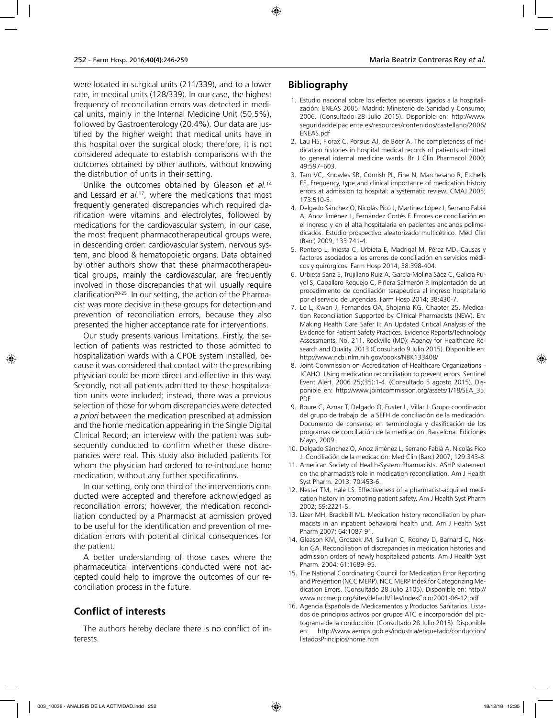were located in surgical units (211/339), and to a lower rate, in medical units (128/339). In our case, the highest frequency of reconciliation errors was detected in medical units, mainly in the Internal Medicine Unit (50.5%), followed by Gastroenterology (20.4%). Our data are justified by the higher weight that medical units have in this hospital over the surgical block; therefore, it is not considered adequate to establish comparisons with the outcomes obtained by other authors, without knowing the distribution of units in their setting.

Unlike the outcomes obtained by Gleason *et al.*<sup>14</sup> and Lessard *et al.*17, where the medications that most frequently generated discrepancies which required clarification were vitamins and electrolytes, followed by medications for the cardiovascular system, in our case, the most frequent pharmacotherapeutical groups were, in descending order: cardiovascular system, nervous system, and blood & hematopoietic organs. Data obtained by other authors show that these pharmacotherapeutical groups, mainly the cardiovascular, are frequently involved in those discrepancies that will usually require clarification<sup>20-25</sup>. In our setting, the action of the Pharmacist was more decisive in these groups for detection and prevention of reconciliation errors, because they also presented the higher acceptance rate for interventions.

Our study presents various limitations. Firstly, the selection of patients was restricted to those admitted to hospitalization wards with a CPOE system installed, because it was considered that contact with the prescribing physician could be more direct and effective in this way. Secondly, not all patients admitted to these hospitalization units were included; instead, there was a previous selection of those for whom discrepancies were detected *a priori* between the medication prescribed at admission and the home medication appearing in the Single Digital Clinical Record; an interview with the patient was subsequently conducted to confirm whether these discrepancies were real. This study also included patients for whom the physician had ordered to re-introduce home medication, without any further specifications.

In our setting, only one third of the interventions conducted were accepted and therefore acknowledged as reconciliation errors; however, the medication reconciliation conducted by a Pharmacist at admission proved to be useful for the identification and prevention of medication errors with potential clinical consequences for the patient.

A better understanding of those cases where the pharmaceutical interventions conducted were not accepted could help to improve the outcomes of our reconciliation process in the future.

# **Conflict of interests**

The authors hereby declare there is no conflict of interests.

# **Bibliography**

- 1. Estudio nacional sobre los efectos adversos ligados a la hospitalización: ENEAS 2005. Madrid: Ministerio de Sanidad y Consumo; 2006. (Consultado 28 Julio 2015). Disponible en: http://www. seguridaddelpaciente.es/resources/contenidos/castellano/2006/ ENEAS.pdf
- 2. Lau HS, Florax C, Porsius AJ, de Boer A. The completeness of medication histories in hospital medical records of patients admitted to general internal medicine wards. Br J Clin Pharmacol 2000; 49:597–603.
- 3. Tam VC, Knowles SR, Cornish PL, Fine N, Marchesano R, Etchells EE. Frequency, type and clinical importance of medication history errors at admission to hospital: a systematic review. CMAJ 2005; 173:510-5.
- 4. Delgado Sánchez O, Nicolás Picó J, Martínez López I, Serrano Fabiá A, Anoz Jiménez L, Fernández Cortés F. Errores de conciliación en el ingreso y en el alta hospitalaria en pacientes ancianos polimedicados. Estudio prospectivo aleatorizado multicétrico. Med Clin (Barc) 2009; 133:741-4.
- 5. Rentero L, Iniesta C, Urbieta E, Madrigal M, Pérez MD. Causas y factores asociados a los errores de conciliación en servicios médicos y quirúrgicos. Farm Hosp 2014; 38:398-404.
- 6. Urbieta Sanz E, Trujillano Ruiz A, García-Molina Sáez C, Galicia Puyol S, Caballero Requejo C, Piñera Salmerón P. Implantación de un procedimiento de conciliación terapéutica al ingreso hospitalario por el servicio de urgencias. Farm Hosp 2014; 38:430-7.
- 7. Lo L, Kwan J, Fernandes OA, Shojania KG. Chapter 25. Medication Reconciliation Supported by Clinical Pharmacists (NEW). En: Making Health Care Safer II: An Updated Critical Analysis of the Evidence for Patient Safety Practices. Evidence Reports/Technology Assessments, No. 211. Rockville (MD): Agency for Healthcare Research and Quality. 2013 (Consultado 9 Julio 2015). Disponible en: http://www.ncbi.nlm.nih.gov/books/NBK133408/
- 8. Joint Commission on Accreditation of Healthcare Organizations JCAHO. Using medication reconciliation to prevent errors. Sentinel Event Alert. 2006 25;(35):1-4. (Consultado 5 agosto 2015). Disponible en: http://www.jointcommission.org/assets/1/18/SEA\_35. PDF
- 9. Roure C, Aznar T, Delgado O, Fuster L, Villar I. Grupo coordinador del grupo de trabajo de la SEFH de conciliación de la medicación. Documento de consenso en terminología y clasificación de los programas de conciliación de la medicación. Barcelona: Ediciones Mayo, 2009.
- 10. Delgado Sánchez O, Anoz Jiménez L, Serrano Fabiá A, Nicolás Pico J. Conciliación de la medicación. Med Clin (Barc) 2007; 129:343-8.
- 11. American Society of Health-System Pharmacists. ASHP statement on the pharmacist's role in medication reconciliation. Am J Health Syst Pharm. 2013; 70:453-6.
- 12. Nester TM, Hale LS. Effectiveness of a pharmacist-acquired medication history in promoting patient safety. Am J Health Syst Pharm 2002; 59:2221-5.
- 13. Lizer MH, Brackbill ML. Medication history reconciliation by pharmacists in an inpatient behavioral health unit. Am J Health Syst Pharm 2007; 64:1087-91.
- 14. Gleason KM, Groszek JM, Sullivan C, Rooney D, Barnard C, Noskin GA. Reconciliation of discrepancies in medication histories and admission orders of newly hospitalized patients. Am J Health Syst Pharm. 2004; 61:1689–95.
- 15. The National Coordinating Council for Medication Error Reporting and Prevention (NCC MERP). NCC MERP Index for Categorizing Medication Errors. (Consultado 28 Julio 2105). Disponible en: http:// www.nccmerp.org/sites/default/files/indexColor2001-06-12.pdf
- 16. Agencia Española de Medicamentos y Productos Sanitarios. Listados de principios activos por grupos ATC e incorporación del pictograma de la conducción. (Consultado 28 Julio 2015). Disponible en: http://www.aemps.gob.es/industria/etiquetado/conduccion/ listadosPrincipios/home.htm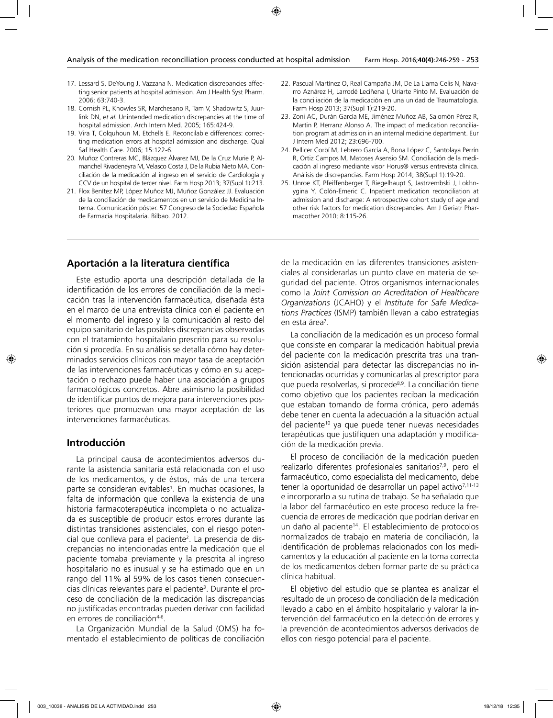- 17. Lessard S, DeYoung J, Vazzana N. Medication discrepancies affecting senior patients at hospital admission. Am J Health Syst Pharm. 2006; 63:740-3.
- 18. Cornish PL, Knowles SR, Marchesano R, Tam V, Shadowitz S, Juurlink DN, *et al.* Unintended medication discrepancies at the time of hospital admission. Arch Intern Med. 2005; 165:424-9.
- 19. Vira T, Colquhoun M, Etchells E. Reconcilable differences: correcting medication errors at hospital admission and discharge. Qual Saf Health Care. 2006; 15:122-6.
- 20. Muñoz Contreras MC, Blázquez Álvarez MJ, De la Cruz Murie P, Almanchel Rivadeneyra M, Velasco Costa J, De la Rubia Nieto MA. Conciliación de la medicación al ingreso en el servicio de Cardiología y CCV de un hospital de tercer nivel. Farm Hosp 2013; 37(Supl 1):213.
- 21. Flox Benítez MP, López Muñoz MJ, Muñoz González JJ. Evaluación de la conciliación de medicamentos en un servicio de Medicina Interna. Comunicación póster. 57 Congreso de la Sociedad Española de Farmacia Hospitalaria. Bilbao. 2012.
- 22. Pascual Martínez O, Real Campaña JM, De La Llama Celis N, Navarro Aznárez H, Larrodé Leciñena I, Uriarte Pinto M. Evaluación de la conciliación de la medicación en una unidad de Traumatología. Farm Hosp 2013; 37(Supl 1):219-20.
- 23. Zoni AC, Durán García ME, Jiménez Muñoz AB, Salomón Pérez R, Martin P, Herranz Alonso A. The impact of medication reconciliation program at admission in an internal medicine department. Eur J Intern Med 2012; 23:696-700.
- 24. Pellicer Corbí M, Lebrero García A, Bona López C, Santolaya Perrín R, Ortiz Campos M, Matoses Asensio SM. Conciliación de la medicación al ingreso mediante visor Horus® versus entrevista clínica. Análisis de discrepancias. Farm Hosp 2014; 38(Supl 1):19-20.
- 25. Unroe KT, Pfeiffenberger T, Riegelhaupt S, Jastrzembski J, Lokhnygina Y, Colón-Emeric C. Inpatient medication reconciliation at admission and discharge: A retrospective cohort study of age and other risk factors for medication discrepancies. Am J Geriatr Pharmacother 2010; 8:115-26.

### **Aportación a la literatura científica**

Este estudio aporta una descripción detallada de la identificación de los errores de conciliación de la medicación tras la intervención farmacéutica, diseñada ésta en el marco de una entrevista clínica con el paciente en el momento del ingreso y la comunicación al resto del equipo sanitario de las posibles discrepancias observadas con el tratamiento hospitalario prescrito para su resolución si procedía. En su análisis se detalla cómo hay determinados servicios clínicos con mayor tasa de aceptación de las intervenciones farmacéuticas y cómo en su aceptación o rechazo puede haber una asociación a grupos farmacológicos concretos. Abre asimismo la posibilidad de identificar puntos de mejora para intervenciones posteriores que promuevan una mayor aceptación de las intervenciones farmacéuticas.

#### **Introducción**

La principal causa de acontecimientos adversos durante la asistencia sanitaria está relacionada con el uso de los medicamentos, y de éstos, más de una tercera parte se consideran evitables<sup>1</sup>. En muchas ocasiones, la falta de información que conlleva la existencia de una historia farmacoterapéutica incompleta o no actualizada es susceptible de producir estos errores durante las distintas transiciones asistenciales, con el riesgo potencial que conlleva para el paciente<sup>2</sup>. La presencia de discrepancias no intencionadas entre la medicación que el paciente tomaba previamente y la prescrita al ingreso hospitalario no es inusual y se ha estimado que en un rango del 11% al 59% de los casos tienen consecuencias clínicas relevantes para el paciente<sup>3</sup>. Durante el proceso de conciliación de la medicación las discrepancias no justificadas encontradas pueden derivar con facilidad en errores de conciliación<sup>4-6</sup>.

La Organización Mundial de la Salud (OMS) ha fomentado el establecimiento de políticas de conciliación

de la medicación en las diferentes transiciones asistenciales al considerarlas un punto clave en materia de seguridad del paciente. Otros organismos internacionales como la *Joint Comission on Acreditation of Healthcare Organizations* (JCAHO) y el *Institute for Safe Medications Practices* (ISMP) también llevan a cabo estrategias en esta área<sup>7</sup>.

La conciliación de la medicación es un proceso formal que consiste en comparar la medicación habitual previa del paciente con la medicación prescrita tras una transición asistencial para detectar las discrepancias no intencionadas ocurridas y comunicarlas al prescriptor para que pueda resolverlas, si procede<sup>8,9</sup>. La conciliación tiene como objetivo que los pacientes reciban la medicación que estaban tomando de forma crónica, pero además debe tener en cuenta la adecuación a la situación actual del paciente<sup>10</sup> ya que puede tener nuevas necesidades terapéuticas que justifiquen una adaptación y modificación de la medicación previa.

El proceso de conciliación de la medicación pueden realizarlo diferentes profesionales sanitarios<sup>7,9</sup>, pero el farmacéutico, como especialista del medicamento, debe tener la oportunidad de desarrollar un papel activo<sup>7,11-13</sup> e incorporarlo a su rutina de trabajo. Se ha señalado que la labor del farmacéutico en este proceso reduce la frecuencia de errores de medicación que podrían derivar en un daño al paciente<sup>14</sup>. El establecimiento de protocolos normalizados de trabajo en materia de conciliación, la identificación de problemas relacionados con los medicamentos y la educación al paciente en la toma correcta de los medicamentos deben formar parte de su práctica clínica habitual.

El objetivo del estudio que se plantea es analizar el resultado de un proceso de conciliación de la medicación llevado a cabo en el ámbito hospitalario y valorar la intervención del farmacéutico en la detección de errores y la prevención de acontecimientos adversos derivados de ellos con riesgo potencial para el paciente.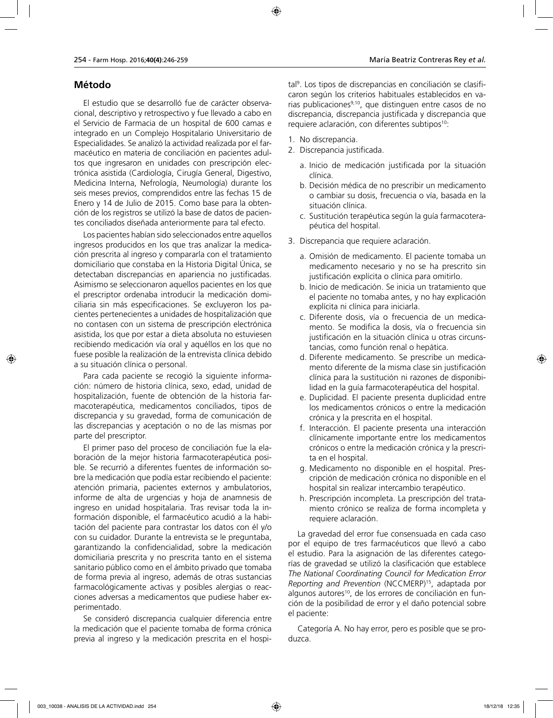## **Método**

El estudio que se desarrolló fue de carácter observacional, descriptivo y retrospectivo y fue llevado a cabo en el Servicio de Farmacia de un hospital de 600 camas e integrado en un Complejo Hospitalario Universitario de Especialidades. Se analizó la actividad realizada por el farmacéutico en materia de conciliación en pacientes adultos que ingresaron en unidades con prescripción electrónica asistida (Cardiología, Cirugía General, Digestivo, Medicina Interna, Nefrología, Neumología) durante los seis meses previos, comprendidos entre las fechas 15 de Enero y 14 de Julio de 2015. Como base para la obtención de los registros se utilizó la base de datos de pacientes conciliados diseñada anteriormente para tal efecto.

Los pacientes habían sido seleccionados entre aquellos ingresos producidos en los que tras analizar la medicación prescrita al ingreso y compararla con el tratamiento domiciliario que constaba en la Historia Digital Única, se detectaban discrepancias en apariencia no justificadas. Asimismo se seleccionaron aquellos pacientes en los que el prescriptor ordenaba introducir la medicación domiciliaria sin más especificaciones. Se excluyeron los pacientes pertenecientes a unidades de hospitalización que no contasen con un sistema de prescripción electrónica asistida, los que por estar a dieta absoluta no estuviesen recibiendo medicación vía oral y aquéllos en los que no fuese posible la realización de la entrevista clínica debido a su situación clínica o personal.

Para cada paciente se recogió la siguiente información: número de historia clínica, sexo, edad, unidad de hospitalización, fuente de obtención de la historia farmacoterapéutica, medicamentos conciliados, tipos de discrepancia y su gravedad, forma de comunicación de las discrepancias y aceptación o no de las mismas por parte del prescriptor.

El primer paso del proceso de conciliación fue la elaboración de la mejor historia farmacoterapéutica posible. Se recurrió a diferentes fuentes de información sobre la medicación que podía estar recibiendo el paciente: atención primaria, pacientes externos y ambulatorios, informe de alta de urgencias y hoja de anamnesis de ingreso en unidad hospitalaria. Tras revisar toda la información disponible, el farmacéutico acudió a la habitación del paciente para contrastar los datos con él y/o con su cuidador. Durante la entrevista se le preguntaba, garantizando la confidencialidad, sobre la medicación domiciliaria prescrita y no prescrita tanto en el sistema sanitario público como en el ámbito privado que tomaba de forma previa al ingreso, además de otras sustancias farmacológicamente activas y posibles alergias o reacciones adversas a medicamentos que pudiese haber experimentado.

Se consideró discrepancia cualquier diferencia entre la medicación que el paciente tomaba de forma crónica previa al ingreso y la medicación prescrita en el hospi-

tal9 . Los tipos de discrepancias en conciliación se clasificaron según los criterios habituales establecidos en varias publicaciones<sup>9,10</sup>, que distinguen entre casos de no discrepancia, discrepancia justificada y discrepancia que requiere aclaración, con diferentes subtipos<sup>10</sup>:

- 1. No discrepancia.
- 2. Discrepancia justificada.
	- a. Inicio de medicación justificada por la situación clínica.
	- b. Decisión médica de no prescribir un medicamento o cambiar su dosis, frecuencia o vía, basada en la situación clínica.
	- c. Sustitución terapéutica según la guía farmacoterapéutica del hospital.
- 3. Discrepancia que requiere aclaración.
	- a. Omisión de medicamento. El paciente tomaba un medicamento necesario y no se ha prescrito sin justificación explícita o clínica para omitirlo.
	- b. Inicio de medicación. Se inicia un tratamiento que el paciente no tomaba antes, y no hay explicación explícita ni clínica para iniciarla.
	- c. Diferente dosis, vía o frecuencia de un medicamento. Se modifica la dosis, vía o frecuencia sin justificación en la situación clínica u otras circunstancias, como función renal o hepática.
	- d. Diferente medicamento. Se prescribe un medicamento diferente de la misma clase sin justificación clínica para la sustitución ni razones de disponibilidad en la guía farmacoterapéutica del hospital.
	- e. Duplicidad. El paciente presenta duplicidad entre los medicamentos crónicos o entre la medicación crónica y la prescrita en el hospital.
	- f. Interacción. El paciente presenta una interacción clínicamente importante entre los medicamentos crónicos o entre la medicación crónica y la prescrita en el hospital.
	- g. Medicamento no disponible en el hospital. Prescripción de medicación crónica no disponible en el hospital sin realizar intercambio terapéutico.
	- h. Prescripción incompleta. La prescripción del tratamiento crónico se realiza de forma incompleta y requiere aclaración.

La gravedad del error fue consensuada en cada caso por el equipo de tres farmacéuticos que llevó a cabo el estudio. Para la asignación de las diferentes categorías de gravedad se utilizó la clasificación que establece *The National Coordinating Council for Medication Error Reporting and Prevention* (NCCMERP)15, adaptada por algunos autores<sup>10</sup>, de los errores de conciliación en función de la posibilidad de error y el daño potencial sobre el paciente:

Categoría A. No hay error, pero es posible que se produzca.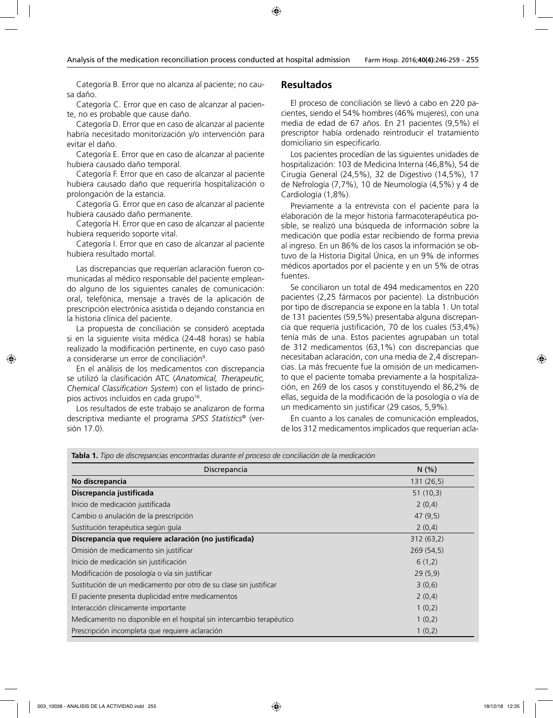Categoría B. Error que no alcanza al paciente; no causa daño.

Categoría C. Error que en caso de alcanzar al paciente, no es probable que cause daño.

Categoría D. Error que en caso de alcanzar al paciente habría necesitado monitorización y/o intervención para evitar el daño.

Categoría E. Error que en caso de alcanzar al paciente hubiera causado daño temporal.

Categoría F. Error que en caso de alcanzar al paciente hubiera causado daño que requeriría hospitalización o prolongación de la estancia.

Categoría G. Error que en caso de alcanzar al paciente hubiera causado daño permanente.

Categoría H. Error que en caso de alcanzar al paciente hubiera requerido soporte vital.

Categoría I. Error que en caso de alcanzar al paciente hubiera resultado mortal.

Las discrepancias que requerían aclaración fueron comunicadas al médico responsable del paciente empleando alguno de los siguientes canales de comunicación: oral, telefónica, mensaje a través de la aplicación de prescripción electrónica asistida o dejando constancia en la historia clínica del paciente.

La propuesta de conciliación se consideró aceptada si en la siguiente visita médica (24-48 horas) se había realizado la modificación pertinente, en cuyo caso pasó a considerarse un error de conciliación<sup>9</sup>.

En el análisis de los medicamentos con discrepancia se utilizó la clasificación ATC (*Anatomical, Therapeutic, Chemical Classification System*) con el listado de principios activos incluidos en cada grupo<sup>16</sup>.

Los resultados de este trabajo se analizaron de forma descriptiva mediante el programa *SPSS Statistics*® (versión 17.0).

## **Resultados**

El proceso de conciliación se llevó a cabo en 220 pacientes, siendo el 54% hombres (46% mujeres), con una media de edad de 67 años. En 21 pacientes (9,5%) el prescriptor había ordenado reintroducir el tratamiento domiciliario sin especificarlo.

Los pacientes procedían de las siguientes unidades de hospitalización: 103 de Medicina Interna (46,8%), 54 de Cirugía General (24,5%), 32 de Digestivo (14,5%), 17 de Nefrología (7,7%), 10 de Neumología (4,5%) y 4 de Cardiología (1,8%).

Previamente a la entrevista con el paciente para la elaboración de la mejor historia farmacoterapéutica posible, se realizó una búsqueda de información sobre la medicación que podía estar recibiendo de forma previa al ingreso. En un 86% de los casos la información se obtuvo de la Historia Digital Única, en un 9% de informes médicos aportados por el paciente y en un 5% de otras fuentes.

Se conciliaron un total de 494 medicamentos en 220 pacientes (2,25 fármacos por paciente). La distribución por tipo de discrepancia se expone en la tabla 1. Un total de 131 pacientes (59,5%) presentaba alguna discrepancia que requería justificación, 70 de los cuales (53,4%) tenía más de una. Estos pacientes agrupaban un total de 312 medicamentos (63,1%) con discrepancias que necesitaban aclaración, con una media de 2,4 discrepancias. La más frecuente fue la omisión de un medicamento que el paciente tomaba previamente a la hospitalización, en 269 de los casos y constituyendo el 86,2% de ellas, seguida de la modificación de la posología o vía de un medicamento sin justificar (29 casos, 5,9%).

En cuanto a los canales de comunicación empleados, de los 312 medicamentos implicados que requerían acla-

| <b>Tabla 1.</b> Tipo de discrepancias encontradas durante el proceso de conciliación de la medicación |  |  |  |  |  |  |  |  |  |  |  |  |
|-------------------------------------------------------------------------------------------------------|--|--|--|--|--|--|--|--|--|--|--|--|
|-------------------------------------------------------------------------------------------------------|--|--|--|--|--|--|--|--|--|--|--|--|

| Discrepancia                                                         | N(% )      |
|----------------------------------------------------------------------|------------|
| No discrepancia                                                      | 131 (26,5) |
| Discrepancia justificada                                             | 51(10,3)   |
| Inicio de medicación justificada                                     | 2(0,4)     |
| Cambio o anulación de la prescripción                                | 47(9,5)    |
| Sustitución terapéutica según guía                                   | 2(0,4)     |
| Discrepancia que requiere aclaración (no justificada)                | 312(63,2)  |
| Omisión de medicamento sin justificar                                | 269(54,5)  |
| Inicio de medicación sin justificación                               | 6(1,2)     |
| Modificación de posología o vía sin justificar                       | 29(5,9)    |
| Sustitución de un medicamento por otro de su clase sin justificar    | 3(0,6)     |
| El paciente presenta duplicidad entre medicamentos                   | 2(0,4)     |
| Interacción clínicamente importante                                  | 1(0,2)     |
| Medicamento no disponible en el hospital sin intercambio terapéutico | 1(0,2)     |
| Prescripción incompleta que requiere aclaración                      | 1(0,2)     |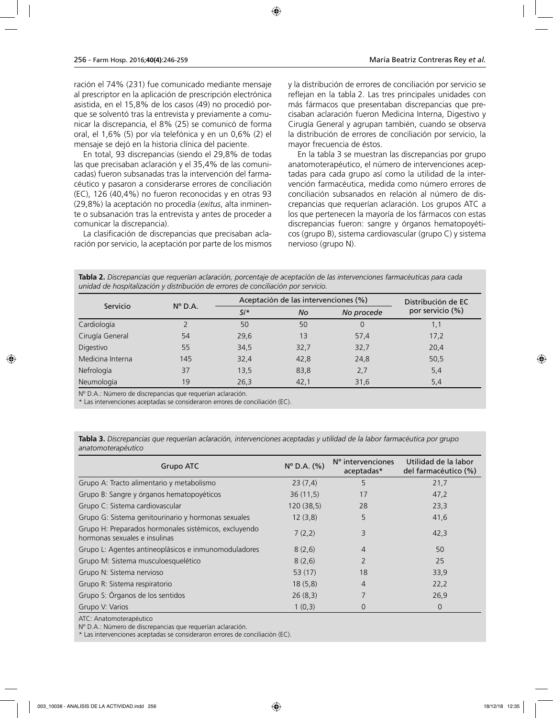ración el 74% (231) fue comunicado mediante mensaje al prescriptor en la aplicación de prescripción electrónica asistida, en el 15,8% de los casos (49) no procedió porque se solventó tras la entrevista y previamente a comunicar la discrepancia, el 8% (25) se comunicó de forma oral, el 1,6% (5) por vía telefónica y en un 0,6% (2) el mensaje se dejó en la historia clínica del paciente.

En total, 93 discrepancias (siendo el 29,8% de todas las que precisaban aclaración y el 35,4% de las comunicadas) fueron subsanadas tras la intervención del farmacéutico y pasaron a considerarse errores de conciliación (EC), 126 (40,4%) no fueron reconocidas y en otras 93 (29,8%) la aceptación no procedía (*exitus*, alta inminente o subsanación tras la entrevista y antes de proceder a comunicar la discrepancia).

La clasificación de discrepancias que precisaban aclaración por servicio, la aceptación por parte de los mismos y la distribución de errores de conciliación por servicio se reflejan en la tabla 2. Las tres principales unidades con más fármacos que presentaban discrepancias que precisaban aclaración fueron Medicina Interna, Digestivo y Cirugía General y agrupan también, cuando se observa la distribución de errores de conciliación por servicio, la mayor frecuencia de éstos.

En la tabla 3 se muestran las discrepancias por grupo anatomoterapéutico, el número de intervenciones aceptadas para cada grupo así como la utilidad de la intervención farmacéutica, medida como número errores de conciliación subsanados en relación al número de discrepancias que requerían aclaración. Los grupos ATC a los que pertenecen la mayoría de los fármacos con estas discrepancias fueron: sangre y órganos hematopoyéticos (grupo B), sistema cardiovascular (grupo C) y sistema nervioso (grupo N).

**Tabla 2.** *Discrepancias que requerían aclaración, porcentaje de aceptación de las intervenciones farmacéuticas para cada unidad de hospitalización y distribución de errores de conciliación por servicio.*

| Servicio         |                  | Aceptación de las intervenciones (%) | Distribución de EC |            |                  |
|------------------|------------------|--------------------------------------|--------------------|------------|------------------|
|                  | $N^{\circ}$ D.A. | $Si*$<br><b>No</b>                   |                    | No procede | por servicio (%) |
| Cardiología      |                  | 50                                   | 50                 | 0          | 1,1              |
| Cirugía General  | 54               | 29,6                                 | 13                 | 57,4       | 17,2             |
| Digestivo        | 55               | 34,5                                 | 32,7               | 32,7       | 20,4             |
| Medicina Interna | 145              | 32,4                                 | 42,8               | 24,8       | 50,5             |
| Nefrología       | 37               | 13,5                                 | 83,8               | 2,7        | 5,4              |
| Neumología       | 19               | 26,3                                 | 42,1               | 31,6       | 5,4              |

Nº D.A.: Número de discrepancias que requerían aclaración.

\* Las intervenciones aceptadas se consideraron errores de conciliación (EC).

| Tabla 3. Discrepancias que requerían aclaración, intervenciones aceptadas y utilidad de la labor farmacéutica por grupo |  |  |
|-------------------------------------------------------------------------------------------------------------------------|--|--|
| anatomoterapéutico                                                                                                      |  |  |

| Grupo ATC                                                                              | $N^{\circ}$ D.A. $(\% )$ | N° intervenciones<br>aceptadas* | Utilidad de la labor<br>del farmacéutico (%) |
|----------------------------------------------------------------------------------------|--------------------------|---------------------------------|----------------------------------------------|
| Grupo A: Tracto alimentario y metabolismo                                              | 23(7,4)                  | 5                               | 21,7                                         |
| Grupo B: Sangre y órganos hematopoyéticos                                              | 36(11,5)                 | 17                              | 47,2                                         |
| Grupo C: Sistema cardiovascular                                                        | 120 (38,5)               | 28                              | 23,3                                         |
| Grupo G: Sistema genitourinario y hormonas sexuales                                    | 12(3,8)                  | 5                               | 41,6                                         |
| Grupo H: Preparados hormonales sistémicos, excluyendo<br>hormonas sexuales e insulinas | 7(2,2)                   | 3                               | 42,3                                         |
| Grupo L: Agentes antineoplásicos e inmunomoduladores                                   | 8(2,6)                   | $\overline{4}$                  | 50                                           |
| Grupo M: Sistema musculoesquelético                                                    | 8(2,6)                   |                                 | 25                                           |
| Grupo N: Sistema nervioso                                                              | 53 $(17)$                | 18                              | 33,9                                         |
| Grupo R: Sistema respiratorio                                                          | 18(5,8)                  | 4                               | 22,2                                         |
| Grupo S: Órganos de los sentidos                                                       | 26(8,3)                  |                                 | 26,9                                         |
| Grupo V: Varios                                                                        | 1(0,3)                   | 0                               | 0                                            |

ATC: Anatomoterapéutico

Nº D.A.: Número de discrepancias que requerían aclaración.

\* Las intervenciones aceptadas se consideraron errores de conciliación (EC).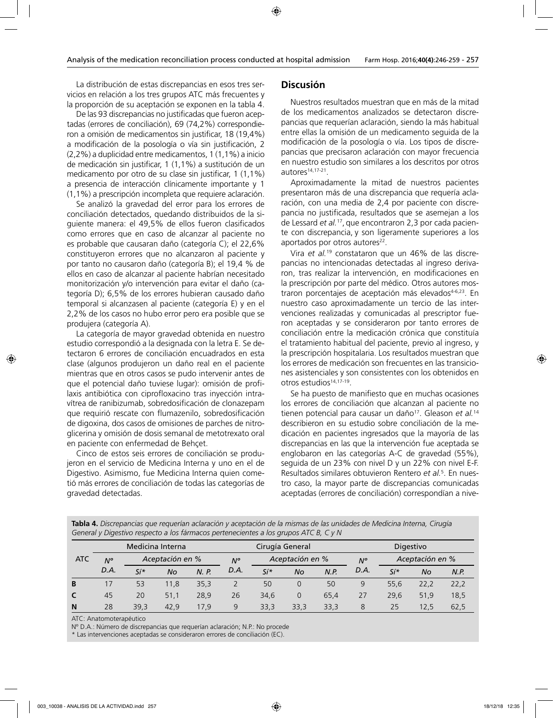La distribución de estas discrepancias en esos tres servicios en relación a los tres grupos ATC más frecuentes y la proporción de su aceptación se exponen en la tabla 4.

De las 93 discrepancias no justificadas que fueron aceptadas (errores de conciliación), 69 (74,2%) correspondieron a omisión de medicamentos sin justificar, 18 (19,4%) a modificación de la posología o vía sin justificación, 2 (2,2%) a duplicidad entre medicamentos, 1 (1,1%) a inicio de medicación sin justificar, 1 (1,1%) a sustitución de un medicamento por otro de su clase sin justificar, 1 (1,1%) a presencia de interacción clínicamente importante y 1 (1,1%) a prescripción incompleta que requiere aclaración.

Se analizó la gravedad del error para los errores de conciliación detectados, quedando distribuidos de la siguiente manera: el 49,5% de ellos fueron clasificados como errores que en caso de alcanzar al paciente no es probable que causaran daño (categoría C); el 22,6% constituyeron errores que no alcanzaron al paciente y por tanto no causaron daño (categoría B); el 19,4 % de ellos en caso de alcanzar al paciente habrían necesitado monitorización y/o intervención para evitar el daño (categoría D); 6,5% de los errores hubieran causado daño temporal si alcanzasen al paciente (categoría E) y en el 2,2% de los casos no hubo error pero era posible que se produjera (categoría A).

La categoría de mayor gravedad obtenida en nuestro estudio correspondió a la designada con la letra E. Se detectaron 6 errores de conciliación encuadrados en esta clase (algunos produjeron un daño real en el paciente mientras que en otros casos se pudo intervenir antes de que el potencial daño tuviese lugar): omisión de profilaxis antibiótica con ciprofloxacino tras inyección intravítrea de ranibizumab, sobredosificación de clonazepam que requirió rescate con flumazenilo, sobredosificación de digoxina, dos casos de omisiones de parches de nitroglicerina y omisión de dosis semanal de metotrexato oral en paciente con enfermedad de Behçet.

Cinco de estos seis errores de conciliación se produjeron en el servicio de Medicina Interna y uno en el de Digestivo. Asimismo, fue Medicina Interna quien cometió más errores de conciliación de todas las categorías de gravedad detectadas.

#### **Discusión**

Nuestros resultados muestran que en más de la mitad de los medicamentos analizados se detectaron discrepancias que requerían aclaración, siendo la más habitual entre ellas la omisión de un medicamento seguida de la modificación de la posología o vía. Los tipos de discrepancias que precisaron aclaración con mayor frecuencia en nuestro estudio son similares a los descritos por otros autores<sup>14,17-21</sup>.

Aproximadamente la mitad de nuestros pacientes presentaron más de una discrepancia que requería aclaración, con una media de 2,4 por paciente con discrepancia no justificada, resultados que se asemejan a los de Lessard *et al.*17, que encontraron 2,3 por cada paciente con discrepancia, y son ligeramente superiores a los aportados por otros autores<sup>22</sup>.

Vira *et al.*19 constataron que un 46% de las discrepancias no intencionadas detectadas al ingreso derivaron, tras realizar la intervención, en modificaciones en la prescripción por parte del médico. Otros autores mostraron porcentajes de aceptación más elevados<sup>4-6,23</sup>. En nuestro caso aproximadamente un tercio de las intervenciones realizadas y comunicadas al prescriptor fueron aceptadas y se consideraron por tanto errores de conciliación entre la medicación crónica que constituía el tratamiento habitual del paciente, previo al ingreso, y la prescripción hospitalaria. Los resultados muestran que los errores de medicación son frecuentes en las transiciones asistenciales y son consistentes con los obtenidos en otros estudios<sup>14,17-19</sup>.

Se ha puesto de manifiesto que en muchas ocasiones los errores de conciliación que alcanzan al paciente no tienen potencial para causar un daño<sup>17</sup>. Gleason et al.<sup>14</sup> describieron en su estudio sobre conciliación de la medicación en pacientes ingresados que la mayoría de las discrepancias en las que la intervención fue aceptada se englobaron en las categorías A-C de gravedad (55%), seguida de un 23% con nivel D y un 22% con nivel E-F. Resultados similares obtuvieron Rentero *et al.*<sup>5</sup> . En nuestro caso, la mayor parte de discrepancias comunicadas aceptadas (errores de conciliación) correspondían a nive-

**Tabla 4.** *Discrepancias que requerían aclaración y aceptación de la mismas de las unidades de Medicina Interna, Cirugía General y Digestivo respecto a los fármacos pertenecientes a los grupos ATC B, C y N*

|                  | $\sim$ |                 |                  |       |             | $\sim$ 1        |                 |      |             |                 |      |      |
|------------------|--------|-----------------|------------------|-------|-------------|-----------------|-----------------|------|-------------|-----------------|------|------|
|                  |        |                 | Medicina Interna |       |             |                 | Cirugía General |      | Digestivo   |                 |      |      |
| <b>ATC</b><br>N° |        | Aceptación en % |                  |       | $N^{\circ}$ | Aceptación en % |                 |      | $N^{\circ}$ | Aceptación en % |      |      |
|                  | D.A.   | $Si*$           | No               | N. P. | D.A.        | $Si*$           | <b>No</b>       | N.P. | D.A.        | $Si*$           | No   | N.P. |
| B                |        | 53              | 11,8             | 35,3  |             | 50              | 0               | 50   | 9           | 55,6            | 22,2 | 22,2 |
| C                | 45     | 20              | 51,1             | 28,9  | 26          | 34.6            | 0               | 65.4 | 27          | 29.6            | 51,9 | 18,5 |
| N                | 28     | 39,3            | 42.9             | 17,9  | 9           | 33,3            | 33,3            | 33,3 | 8           | 25              | 12,5 | 62,5 |

ATC: Anatomoterapéutico

Nº D.A.: Número de discrepancias que requerían aclaración; N.P.: No procede

\* Las intervenciones aceptadas se consideraron errores de conciliación (EC).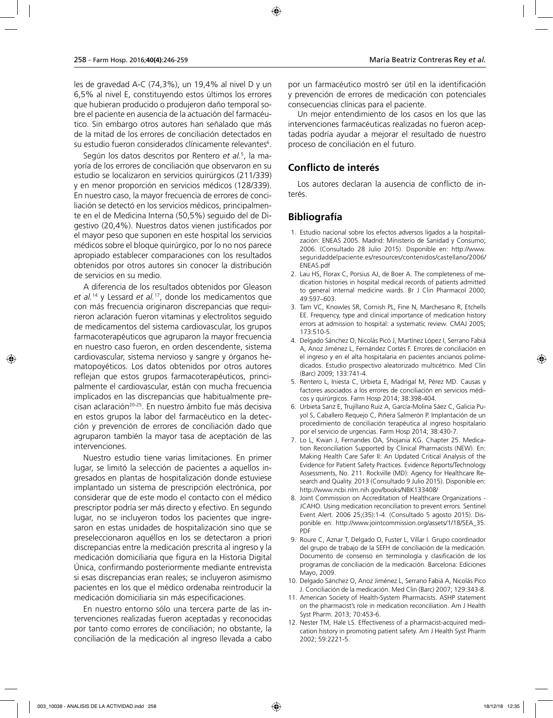les de gravedad A-C (74,3%), un 19,4% al nivel D y un 6,5% al nivel E, constituyendo estos últimos los errores que hubieran producido o produjeron daño temporal sobre el paciente en ausencia de la actuación del farmacéutico. Sin embargo otros autores han señalado que más de la mitad de los errores de conciliación detectados en su estudio fueron considerados clínicamente relevantes $\rm ^6$ .

Según los datos descritos por Rentero *et al.*<sup>5</sup> , la mayoría de los errores de conciliación que observaron en su estudio se localizaron en servicios quirúrgicos (211/339) y en menor proporción en servicios médicos (128/339). En nuestro caso, la mayor frecuencia de errores de conciliación se detectó en los servicios médicos, principalmente en el de Medicina Interna (50,5%) seguido del de Digestivo (20,4%). Nuestros datos vienen justificados por el mayor peso que suponen en este hospital los servicios médicos sobre el bloque quirúrgico, por lo no nos parece apropiado establecer comparaciones con los resultados obtenidos por otros autores sin conocer la distribución de servicios en su medio.

A diferencia de los resultados obtenidos por Gleason *et al.*14 y Lessard *et al.*17, donde los medicamentos que con más frecuencia originaron discrepancias que requirieron aclaración fueron vitaminas y electrolitos seguido de medicamentos del sistema cardiovascular, los grupos farmacoterapéuticos que agruparon la mayor frecuencia en nuestro caso fueron, en orden descendente, sistema cardiovascular, sistema nervioso y sangre y órganos hematopoyéticos. Los datos obtenidos por otros autores reflejan que estos grupos farmacoterapéuticos, principalmente el cardiovascular, están con mucha frecuencia implicados en las discrepancias que habitualmente precisan aclaración<sup>20-25</sup>. En nuestro ámbito fue más decisiva en estos grupos la labor del farmacéutico en la detección y prevención de errores de conciliación dado que agruparon también la mayor tasa de aceptación de las intervenciones.

Nuestro estudio tiene varias limitaciones. En primer lugar, se limitó la selección de pacientes a aquellos ingresados en plantas de hospitalización donde estuviese implantado un sistema de prescripción electrónica, por considerar que de este modo el contacto con el médico prescriptor podría ser más directo y efectivo. En segundo lugar, no se incluyeron todos los pacientes que ingresaron en estas unidades de hospitalización sino que se preseleccionaron aquéllos en los se detectaron a priori discrepancias entre la medicación prescrita al ingreso y la medicación domiciliaria que figura en la Historia Digital Única, confirmando posteriormente mediante entrevista si esas discrepancias eran reales; se incluyeron asimismo pacientes en los que el médico ordenaba reintroducir la medicación domiciliaria sin más especificaciones.

En nuestro entorno sólo una tercera parte de las intervenciones realizadas fueron aceptadas y reconocidas por tanto como errores de conciliación; no obstante, la conciliación de la medicación al ingreso llevada a cabo por un farmacéutico mostró ser útil en la identificación y prevención de errores de medicación con potenciales consecuencias clínicas para el paciente.

Un mejor entendimiento de los casos en los que las intervenciones farmacéuticas realizadas no fueron aceptadas podría ayudar a mejorar el resultado de nuestro proceso de conciliación en el futuro.

## **Conflicto de interés**

Los autores declaran la ausencia de conflicto de interés.

# **Bibliografía**

- 1. Estudio nacional sobre los efectos adversos ligados a la hospitalización: ENEAS 2005. Madrid: Ministerio de Sanidad y Consumo; 2006. (Consultado 28 Julio 2015). Disponible en: http://www. seguridaddelpaciente.es/resources/contenidos/castellano/2006/ ENEAS.pdf
- 2. Lau HS, Florax C, Porsius AJ, de Boer A. The completeness of medication histories in hospital medical records of patients admitted to general internal medicine wards. Br J Clin Pharmacol 2000; 49:597–603.
- 3. Tam VC, Knowles SR, Cornish PL, Fine N, Marchesano R, Etchells EE. Frequency, type and clinical importance of medication history errors at admission to hospital: a systematic review. CMAJ 2005; 173:510-5.
- 4. Delgado Sánchez O, Nicolás Picó J, Martínez López I, Serrano Fabiá A, Anoz Jiménez L, Fernández Cortés F. Errores de conciliación en el ingreso y en el alta hospitalaria en pacientes ancianos polimedicados. Estudio prospectivo aleatorizado multicétrico. Med Clin (Barc) 2009; 133:741-4.
- 5. Rentero L, Iniesta C, Urbieta E, Madrigal M, Pérez MD. Causas y factores asociados a los errores de conciliación en servicios médicos y quirúrgicos. Farm Hosp 2014; 38:398-404.
- 6. Urbieta Sanz E, Trujillano Ruiz A, García-Molina Sáez C, Galicia Puyol S, Caballero Requejo C, Piñera Salmerón P. Implantación de un procedimiento de conciliación terapéutica al ingreso hospitalario por el servicio de urgencias. Farm Hosp 2014; 38:430-7.
- 7. Lo L, Kwan J, Fernandes OA, Shojania KG. Chapter 25. Medication Reconciliation Supported by Clinical Pharmacists (NEW). En: Making Health Care Safer II: An Updated Critical Analysis of the Evidence for Patient Safety Practices. Evidence Reports/Technology Assessments, No. 211. Rockville (MD): Agency for Healthcare Research and Quality. 2013 (Consultado 9 Julio 2015). Disponible en: http://www.ncbi.nlm.nih.gov/books/NBK133408/
- 8. Joint Commission on Accreditation of Healthcare Organizations JCAHO. Using medication reconciliation to prevent errors. Sentinel Event Alert. 2006 25;(35):1-4. (Consultado 5 agosto 2015). Disponible en: http://www.jointcommission.org/assets/1/18/SEA\_35. PDF
- 9. Roure C, Aznar T, Delgado O, Fuster L, Villar I. Grupo coordinador del grupo de trabajo de la SEFH de conciliación de la medicación. Documento de consenso en terminología y clasificación de los programas de conciliación de la medicación. Barcelona: Ediciones Mayo, 2009.
- 10. Delgado Sánchez O, Anoz Jiménez L, Serrano Fabiá A, Nicolás Pico J. Conciliación de la medicación. Med Clin (Barc) 2007; 129:343-8.
- 11. American Society of Health-System Pharmacists. ASHP statement on the pharmacist's role in medication reconciliation. Am J Health Syst Pharm. 2013; 70:453-6.
- 12. Nester TM, Hale LS. Effectiveness of a pharmacist-acquired medication history in promoting patient safety. Am J Health Syst Pharm 2002; 59:2221-5.